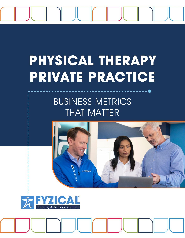

## **PHYSICAL THERAPY PRIVATE PRACTICE**

## BUSINESS METRICS THAT MATTER



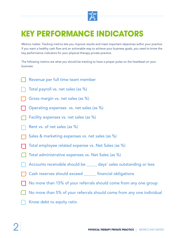

## **KEY PERFORMANCE INDICATORS**

Metrics matter. Tracking metrics lets you improve results and meet important objectives within your practice. If you want a healthy cash flow and an actionable way to achieve your business goals, you need to know the key performance indicators for your physical therapy private practice.

The following metrics are what you should be tracking to have a proper pulse on the heartbeat on your business:

- Revenue per full time team member
- Total payroll vs. net sales (as %)
- Gross margin vs. net sales (as %)
- Operating expenses vs. net sales (as %)
- Facility expenses vs. net sales (as %)
- Rent vs. of net sales (as %)
- Sales & marketing expenses vs. net sales (as %)
- Total employee related expense vs. Net Sales (as %)
- Total administrative expenses vs. Net Sales (as %)
- Accounts receivable should be \_\_\_\_\_ days' sales outstanding or less
- Cash reserves should exceed \_\_\_\_\_\_ financial obligations
- No more than 15% of your referrals should come from any one group
- No more than 5% of your referrals should come from any one individual
- Know debt to equity ratio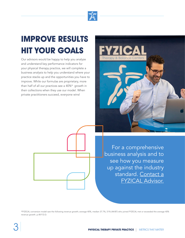

## **IMPROVE RESULTS HIT YOUR GOALS**

Our advisors would be happy to help you analyze and understand key performance indicators for your physical therapy practice, we will complete a business analysis to help you understand where your practice stacks up and the opportunities you have to improve. While our formulas are proprietary, more than half of all our practices see a 40%\* growth in their collections when they use our model. When private practitioners succeed, everyone wins!





For a comprehensive business analysis and to see how you measure up against the industry standard. Contact a FYZICAL Advisor.

\*FYZICAL conversion model saw the following revenue growth; average 40%, median 37.7%, 51% (44/87) who joined FYZICAL met or exceeded the average 40% revenue growth. p.48 F.D.D.